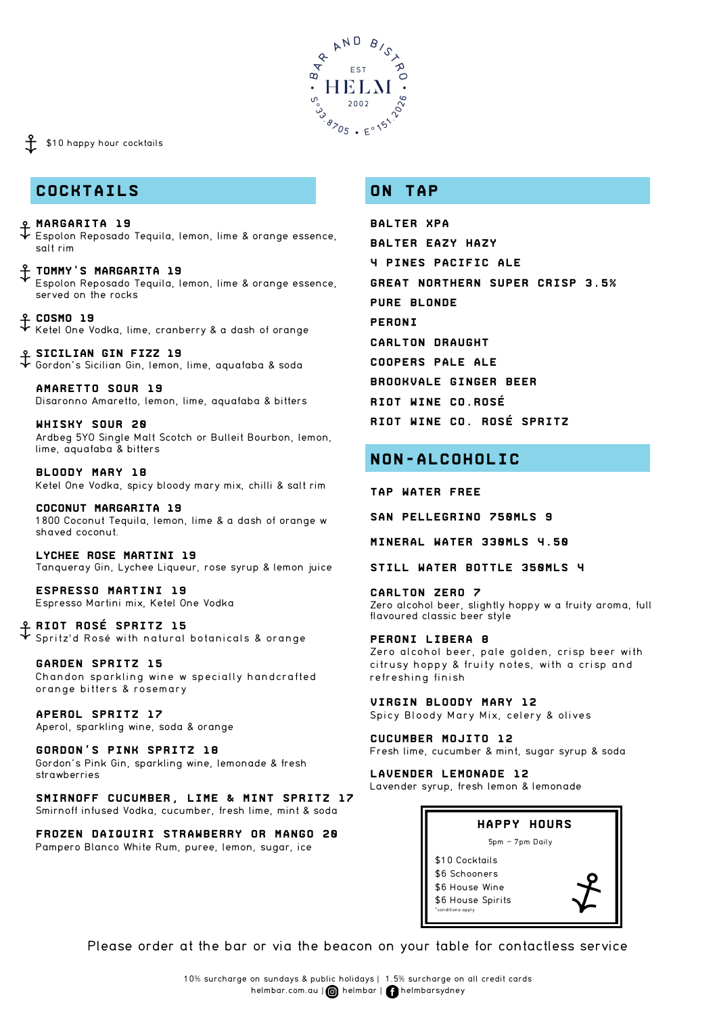

## \$10 happy hour cocktails

## **COCKTAILS**

- **Margarita 19** Espolon Reposado Tequila, lemon, lime & orange essence, salt rim
- **Tommy's Margarita 19** Espolon Reposado Tequila, lemon, lime & orange essence, served on the rocks
- **Cosmo 19** Ketel One Vodka, lime, cranberry & a dash of orange
- **Sicilian Gin Fizz 19** Gordon's Sicilian Gin, lemon, lime, aquafaba & soda

**Amaretto Sour 19** Disaronno Amaretto, lemon, lime, aquafaba & bitters

**Whisky Sour 20** Ardbeg 5YO Single Malt Scotch or Bulleit Bourbon, lemon, lime, aquafaba & bitters

**Bloody Mary 18** Ketel One Vodka, spicy bloody mary mix, chilli & salt rim

**coconut Margarita 19** 1800 Coconut Tequila, lemon, lime & a dash of orange w shaved coconut.

**lychee rose martini 19** Tanqueray Gin, Lychee Liqueur, rose syrup & lemon juice

**Espresso Martini 19** Espresso Martini mix, Ketel One Vodka

**Riot Rosé Spritz 15** Spritz'd Rosé with natural botanicals & orange

**garden spritz 15** Chandon sparkling wine w specially handcrafted or ange bitters & rosemary

**Aperol Spritz 17** Aperol, sparkling wine, soda & orange

**Gordon's Pink Spritz 18** Gordon's Pink Gin, sparkling wine, lemonade & fresh strawberries

**Smirnoff Cucumber, Lime & Mint Spritz 17** Smirnoff infused Vodka, cucumber, fresh lime, mint & soda

**Frozen Daiquiri strawberry or mango 20** Pampero Blanco White Rum, puree, lemon, sugar, ice

## **ON TAP**

**Balter XPA Balter Eazy Hazy 4 Pines Pacific Ale Great Northern Super Crisp 3.5% Pure Blonde Peroni Carlton Draught Coopers Pale Ale Brookvale Ginger Beer Riot WINE CO.Rosé Riot WINE CO. Rosé Spritz**

# **NON-ALCOHOLIC**

**Tap water Free**

**San pellegrino 750mls 9**

**Mineral Water 330mls 4.50**

**Still water bottle 350mls 4**

**Carlton Zero 7** Zero alcohol beer, slightly hoppy w a fruity aroma, full flavoured classic beer style

**Peroni libera 8** Zero alcohol beer, pale golden, crisp beer with citrusy hoppy & fruity notes, with a crisp and refreshing finish

**Virgin Bloody MAry 12** Spicy Bloody Mary Mix, celery & olives

**Cucumber Mojito 12** Fresh lime, cucumber & mint, sugar syrup & soda

**Lavender Lemonade 12** Lavender syrup, fresh lemon & lemonade



Please order at the bar or via the beacon on your table for contactless service